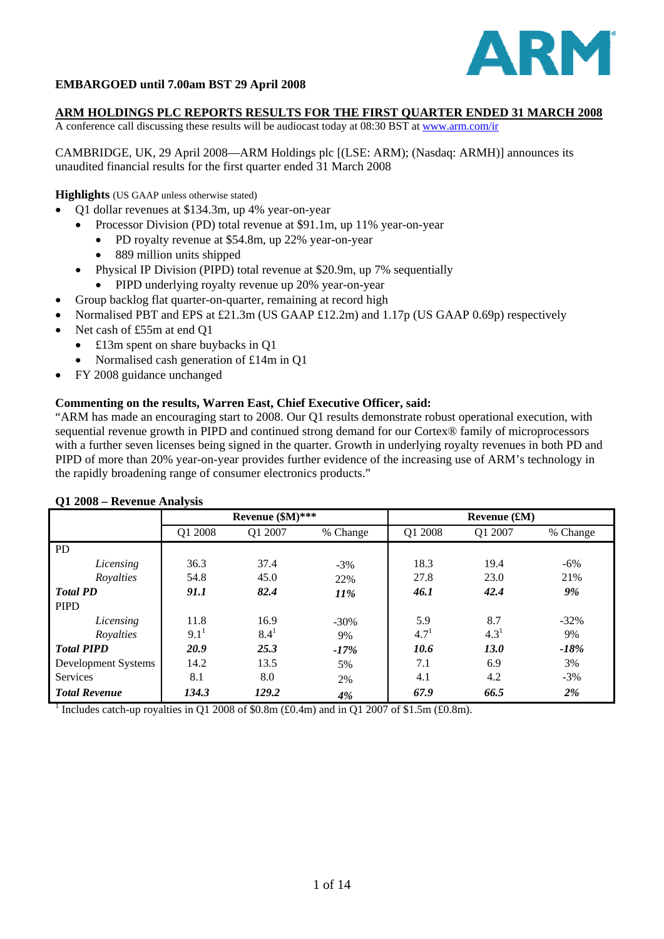

# **EMBARGOED until 7.00am BST 29 April 2008**

#### **ARM HOLDINGS PLC REPORTS RESULTS FOR THE FIRST QUARTER ENDED 31 MARCH 2008**

A conference call discussing these results will be audiocast today at 08:30 BST at [www.arm.com/ir](http://www.arm.com/ir)

CAMBRIDGE, UK, 29 April 2008—ARM Holdings plc [(LSE: ARM); (Nasdaq: ARMH)] announces its unaudited financial results for the first quarter ended 31 March 2008

**Highlights** (US GAAP unless otherwise stated)

- Q1 dollar revenues at \$134.3m, up 4% year-on-year
	- Processor Division (PD) total revenue at \$91.1m, up 11% year-on-year
		- PD royalty revenue at \$54.8m, up 22% year-on-year
		- 889 million units shipped
- Physical IP Division (PIPD) total revenue at \$20.9m, up 7% sequentially
- PIPD underlying royalty revenue up 20% year-on-year
- Group backlog flat quarter-on-quarter, remaining at record high
- Normalised PBT and EPS at £21.3m (US GAAP £12.2m) and 1.17p (US GAAP 0.69p) respectively
- Net cash of £55m at end O1
	- £13m spent on share buybacks in Q1
	- Normalised cash generation of £14m in Q1
- FY 2008 guidance unchanged

## **Commenting on the results, Warren East, Chief Executive Officer, said:**

"ARM has made an encouraging start to 2008. Our Q1 results demonstrate robust operational execution, with sequential revenue growth in PIPD and continued strong demand for our Cortex® family of microprocessors with a further seven licenses being signed in the quarter. Growth in underlying royalty revenues in both PD and PIPD of more than 20% year-on-year provides further evidence of the increasing use of ARM's technology in the rapidly broadening range of consumer electronics products."

| $Q_1$ 2000 – Revenue Analysis |                  |           |          |           |                |          |  |  |
|-------------------------------|------------------|-----------|----------|-----------|----------------|----------|--|--|
|                               | Revenue (\$M)*** |           |          |           | Revenue $f(M)$ |          |  |  |
|                               | Q1 2008          | Q1 2007   | % Change | Q1 2008   | Q1 2007        | % Change |  |  |
| <b>PD</b>                     |                  |           |          |           |                |          |  |  |
| Licensing                     | 36.3             | 37.4      | $-3%$    | 18.3      | 19.4           | $-6\%$   |  |  |
| Royalties                     | 54.8             | 45.0      | 22%      | 27.8      | 23.0           | 21%      |  |  |
| <b>Total PD</b>               | 91.1             | 82.4      | 11%      | 46.1      | 42.4           | 9%       |  |  |
| <b>PIPD</b>                   |                  |           |          |           |                |          |  |  |
| Licensing                     | 11.8             | 16.9      | $-30%$   | 5.9       | 8.7            | $-32\%$  |  |  |
| Royalties                     | $9.1^1$          | $8.4^{1}$ | 9%       | $4.7^{1}$ | $4.3^{1}$      | 9%       |  |  |
| <b>Total PIPD</b>             | 20.9             | 25.3      | $-17%$   | 10.6      | 13.0           | $-18%$   |  |  |
| Development Systems           | 14.2             | 13.5      | 5%       | 7.1       | 6.9            | 3%       |  |  |
| <b>Services</b>               | 8.1              | 8.0       | 2%       | 4.1       | 4.2            | $-3%$    |  |  |
| <b>Total Revenue</b>          | 134.3            | 129.2     | 4%       | 67.9      | 66.5           | 2%       |  |  |

#### **Q1 2008 – Revenue Analysis**

<sup>1</sup> Includes catch-up royalties in Q1 2008 of \$0.8m (£0.4m) and in Q1 2007 of \$1.5m (£0.8m).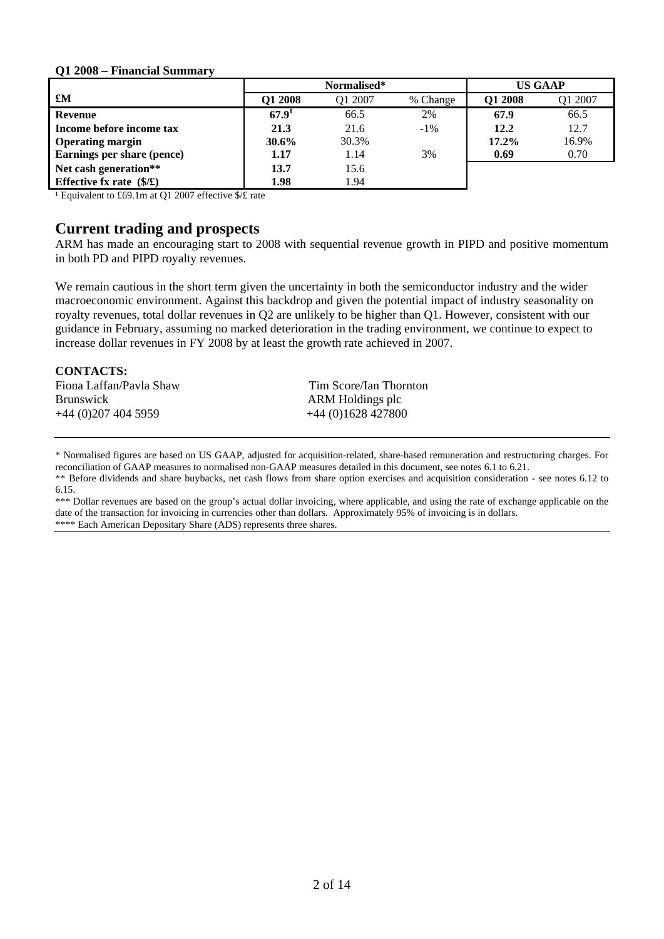#### **Q1 2008 – Financial Summary**

|                                   |                   | Normalised* |          |          | <b>US GAAP</b> |
|-----------------------------------|-------------------|-------------|----------|----------|----------------|
| £M                                | <b>O1 2008</b>    | O1 2007     | % Change | Q1 2008  | Q1 2007        |
| <b>Revenue</b>                    | 67.9 <sup>1</sup> | 66.5        | 2%       | 67.9     | 66.5           |
| Income before income tax          | 21.3              | 21.6        | $-1\%$   | 12.2     | 12.7           |
| <b>Operating margin</b>           | 30.6%             | 30.3%       |          | $17.2\%$ | 16.9%          |
| Earnings per share (pence)        | 1.17              | 1.14        | 3%       | 0.69     | 0.70           |
| Net cash generation**             | 13.7              | 15.6        |          |          |                |
| Effective fx rate $(\frac{1}{2})$ | 1.98              | 1.94        |          |          |                |

<sup>1</sup> Equivalent to £69.1m at Q1 2007 effective \$/£ rate

# **Current trading and prospects**

ARM has made an encouraging start to 2008 with sequential revenue growth in PIPD and positive momentum in both PD and PIPD royalty revenues.

We remain cautious in the short term given the uncertainty in both the semiconductor industry and the wider macroeconomic environment. Against this backdrop and given the potential impact of industry seasonality on royalty revenues, total dollar revenues in Q2 are unlikely to be higher than Q1. However, consistent with our guidance in February, assuming no marked deterioration in the trading environment, we continue to expect to increase dollar revenues in FY 2008 by at least the growth rate achieved in 2007.

#### **CONTACTS:**

Fiona Laffan/Pavla Shaw Tim Score/Ian Thornton Brunswick ARM Holdings plc +44 (0)207 404 5959 +44 (0)1628 427800

\* Normalised figures are based on US GAAP, adjusted for acquisition-related, share-based remuneration and restructuring charges. For reconciliation of GAAP measures to normalised non-GAAP measures detailed in this document, see notes 6.1 to 6.21.

\*\* Before dividends and share buybacks, net cash flows from share option exercises and acquisition consideration - see notes 6.12 to 6.15.

\*\*\* Dollar revenues are based on the group's actual dollar invoicing, where applicable, and using the rate of exchange applicable on the date of the transaction for invoicing in currencies other than dollars. Approximately 95% of invoicing is in dollars. \*\*\*\* Each American Depositary Share (ADS) represents three shares.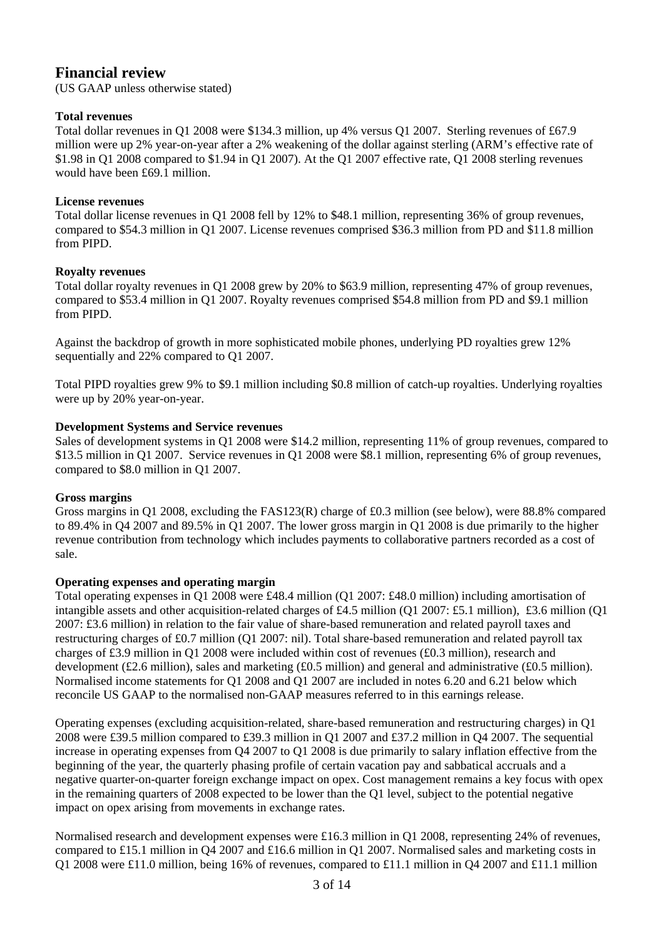# **Financial review**

(US GAAP unless otherwise stated)

# **Total revenues**

Total dollar revenues in Q1 2008 were \$134.3 million, up 4% versus Q1 2007. Sterling revenues of £67.9 million were up 2% year-on-year after a 2% weakening of the dollar against sterling (ARM's effective rate of \$1.98 in Q1 2008 compared to \$1.94 in Q1 2007). At the Q1 2007 effective rate, Q1 2008 sterling revenues would have been £69.1 million.

## **License revenues**

Total dollar license revenues in Q1 2008 fell by 12% to \$48.1 million, representing 36% of group revenues, compared to \$54.3 million in Q1 2007. License revenues comprised \$36.3 million from PD and \$11.8 million from PIPD.

# **Royalty revenues**

Total dollar royalty revenues in Q1 2008 grew by 20% to \$63.9 million, representing 47% of group revenues, compared to \$53.4 million in Q1 2007. Royalty revenues comprised \$54.8 million from PD and \$9.1 million from PIPD.

Against the backdrop of growth in more sophisticated mobile phones, underlying PD royalties grew 12% sequentially and 22% compared to Q1 2007.

Total PIPD royalties grew 9% to \$9.1 million including \$0.8 million of catch-up royalties. Underlying royalties were up by 20% year-on-year.

# **Development Systems and Service revenues**

Sales of development systems in Q1 2008 were \$14.2 million, representing 11% of group revenues, compared to \$13.5 million in Q1 2007. Service revenues in Q1 2008 were \$8.1 million, representing 6% of group revenues, compared to \$8.0 million in Q1 2007.

# **Gross margins**

Gross margins in Q1 2008, excluding the FAS123(R) charge of £0.3 million (see below), were 88.8% compared to 89.4% in Q4 2007 and 89.5% in Q1 2007. The lower gross margin in Q1 2008 is due primarily to the higher revenue contribution from technology which includes payments to collaborative partners recorded as a cost of sale.

# **Operating expenses and operating margin**

Total operating expenses in Q1 2008 were £48.4 million (Q1 2007: £48.0 million) including amortisation of intangible assets and other acquisition-related charges of £4.5 million (O1 2007: £5.1 million), £3.6 million (O1 2007: £3.6 million) in relation to the fair value of share-based remuneration and related payroll taxes and restructuring charges of £0.7 million (Q1 2007: nil). Total share-based remuneration and related payroll tax charges of £3.9 million in Q1 2008 were included within cost of revenues (£0.3 million), research and development (£2.6 million), sales and marketing (£0.5 million) and general and administrative (£0.5 million). Normalised income statements for Q1 2008 and Q1 2007 are included in notes 6.20 and 6.21 below which reconcile US GAAP to the normalised non-GAAP measures referred to in this earnings release.

Operating expenses (excluding acquisition-related, share-based remuneration and restructuring charges) in Q1 2008 were £39.5 million compared to £39.3 million in Q1 2007 and £37.2 million in Q4 2007. The sequential increase in operating expenses from Q4 2007 to Q1 2008 is due primarily to salary inflation effective from the beginning of the year, the quarterly phasing profile of certain vacation pay and sabbatical accruals and a negative quarter-on-quarter foreign exchange impact on opex. Cost management remains a key focus with opex in the remaining quarters of 2008 expected to be lower than the Q1 level, subject to the potential negative impact on opex arising from movements in exchange rates.

Normalised research and development expenses were £16.3 million in Q1 2008, representing 24% of revenues, compared to £15.1 million in Q4 2007 and £16.6 million in Q1 2007. Normalised sales and marketing costs in Q1 2008 were £11.0 million, being 16% of revenues, compared to £11.1 million in Q4 2007 and £11.1 million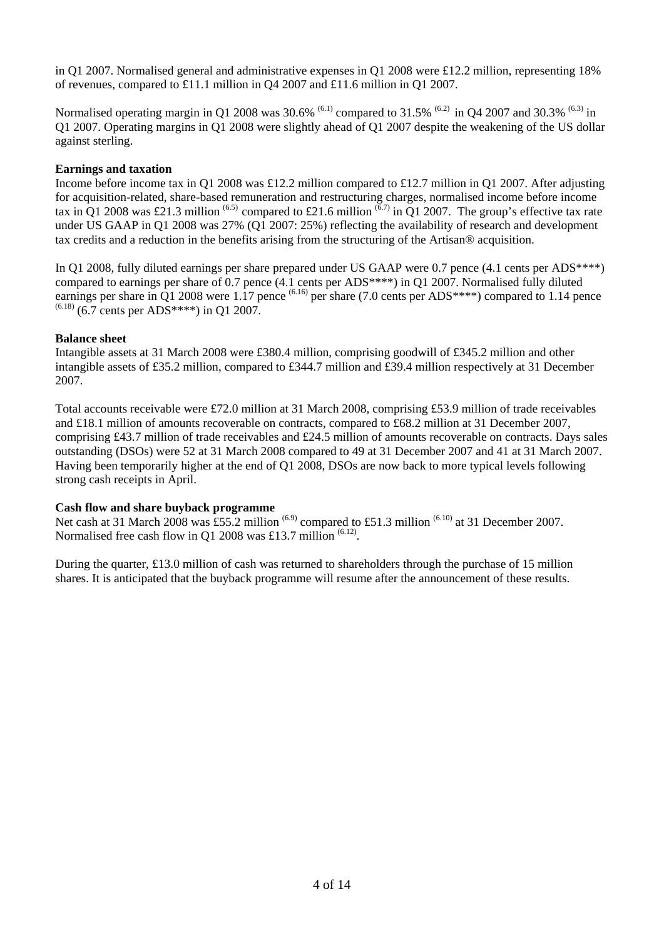in Q1 2007. Normalised general and administrative expenses in Q1 2008 were £12.2 million, representing 18% of revenues, compared to £11.1 million in Q4 2007 and £11.6 million in Q1 2007.

Normalised operating margin in Q1 2008 was 30.6% <sup>(6.1)</sup> compared to 31.5% <sup>(6.2)</sup> in Q4 2007 and 30.3% <sup>(6.3)</sup> in Q1 2007. Operating margins in Q1 2008 were slightly ahead of Q1 2007 despite the weakening of the US dollar against sterling.

## **Earnings and taxation**

Income before income tax in Q1 2008 was £12.2 million compared to £12.7 million in Q1 2007. After adjusting for acquisition-related, share-based remuneration and restructuring charges, normalised income before income tax in Q1 2008 was £21.3 million <sup>(6.5)</sup> compared to £21.6 million  $\frac{(6.7)}{10.01}$  in Q1 2007. The group's effective tax rate under US GAAP in Q1 2008 was 27% (Q1 2007: 25%) reflecting the availability of research and development tax credits and a reduction in the benefits arising from the structuring of the Artisan® acquisition.

In Q1 2008, fully diluted earnings per share prepared under US GAAP were 0.7 pence (4.1 cents per ADS\*\*\*\*) compared to earnings per share of 0.7 pence (4.1 cents per ADS\*\*\*\*) in Q1 2007. Normalised fully diluted earnings per share in Q1 2008 were 1.17 pence  $^{(6.16)}$  per share (7.0 cents per ADS\*\*\*\*) compared to 1.14 pence  $(6.18)$  (6.7 cents per ADS\*\*\*\*) in Q1 2007.

## **Balance sheet**

Intangible assets at 31 March 2008 were £380.4 million, comprising goodwill of £345.2 million and other intangible assets of £35.2 million, compared to £344.7 million and £39.4 million respectively at 31 December 2007.

Total accounts receivable were £72.0 million at 31 March 2008, comprising £53.9 million of trade receivables and £18.1 million of amounts recoverable on contracts, compared to £68.2 million at 31 December 2007, comprising £43.7 million of trade receivables and £24.5 million of amounts recoverable on contracts. Days sales outstanding (DSOs) were 52 at 31 March 2008 compared to 49 at 31 December 2007 and 41 at 31 March 2007. Having been temporarily higher at the end of Q1 2008, DSOs are now back to more typical levels following strong cash receipts in April.

#### **Cash flow and share buyback programme**

Net cash at 31 March 2008 was  $\overline{255.2}$  million  $^{(6.9)}$  compared to £51.3 million  $^{(6.10)}$  at 31 December 2007. Normalised free cash flow in Q1 2008 was £13.7 million  $(6.12)$ .

During the quarter, £13.0 million of cash was returned to shareholders through the purchase of 15 million shares. It is anticipated that the buyback programme will resume after the announcement of these results.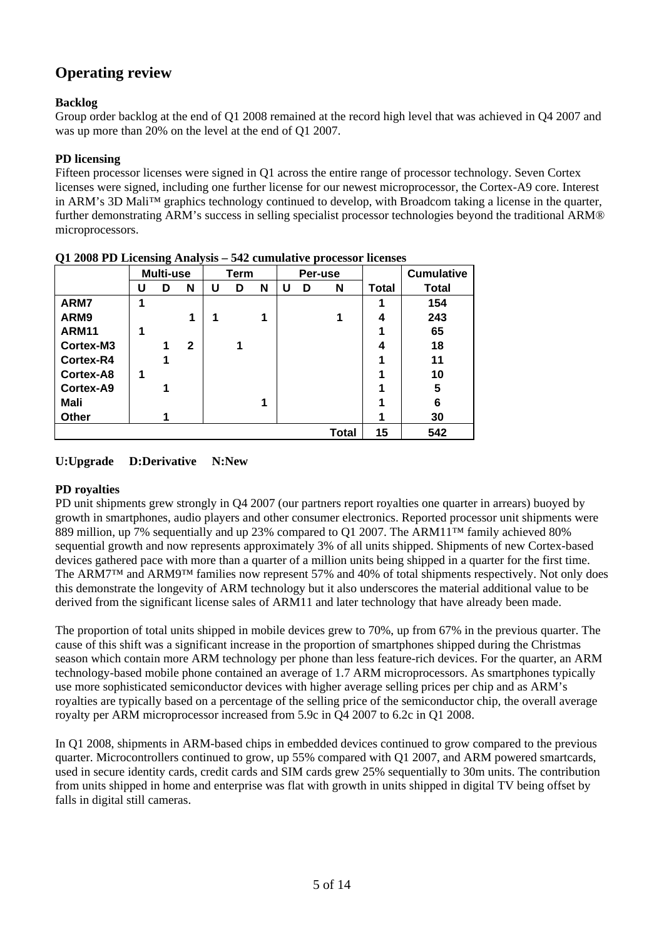# **Operating review**

# **Backlog**

Group order backlog at the end of Q1 2008 remained at the record high level that was achieved in Q4 2007 and was up more than 20% on the level at the end of Q1 2007.

# **PD licensing**

Fifteen processor licenses were signed in Q1 across the entire range of processor technology. Seven Cortex licenses were signed, including one further license for our newest microprocessor, the Cortex-A9 core. Interest in ARM's 3D Mali™ graphics technology continued to develop, with Broadcom taking a license in the quarter, further demonstrating ARM's success in selling specialist processor technologies beyond the traditional ARM® microprocessors.

|              |   | ັ<br>Multi-use | $\cdot$ | Term |   | Per-use |   |   | <b>Cumulative</b> |              |              |
|--------------|---|----------------|---------|------|---|---------|---|---|-------------------|--------------|--------------|
|              | U | D              | N       | U    | D | N       | U | D | N                 | <b>Total</b> | <b>Total</b> |
| ARM7         | 1 |                |         |      |   |         |   |   |                   | 1            | 154          |
| ARM9         |   |                | 1       | 1    |   | 1       |   |   | 1                 | 4            | 243          |
| <b>ARM11</b> | 1 |                |         |      |   |         |   |   |                   | 1            | 65           |
| Cortex-M3    |   |                | 2       |      | 1 |         |   |   |                   | 4            | 18           |
| Cortex-R4    |   | 1              |         |      |   |         |   |   |                   | 1            | 11           |
| Cortex-A8    | 1 |                |         |      |   |         |   |   |                   | 1            | 10           |
| Cortex-A9    |   |                |         |      |   |         |   |   |                   | 1            | $\sqrt{5}$   |
| Mali         |   |                |         |      |   | 1       |   |   |                   | 1            | 6            |
| <b>Other</b> |   |                |         |      |   |         |   |   |                   |              | 30           |
|              |   |                |         |      |   |         |   |   | <b>Total</b>      | 15           | 542          |

**Q1 2008 PD Licensing Analysis – 542 cumulative processor licenses** 

# **U:Upgrade D:Derivative N:New**

# **PD royalties**

PD unit shipments grew strongly in Q4 2007 (our partners report royalties one quarter in arrears) buoyed by growth in smartphones, audio players and other consumer electronics. Reported processor unit shipments were 889 million, up 7% sequentially and up 23% compared to Q1 2007. The ARM11™ family achieved 80% sequential growth and now represents approximately 3% of all units shipped. Shipments of new Cortex-based devices gathered pace with more than a quarter of a million units being shipped in a quarter for the first time. The ARM7™ and ARM9™ families now represent 57% and 40% of total shipments respectively. Not only does this demonstrate the longevity of ARM technology but it also underscores the material additional value to be derived from the significant license sales of ARM11 and later technology that have already been made.

The proportion of total units shipped in mobile devices grew to 70%, up from 67% in the previous quarter. The cause of this shift was a significant increase in the proportion of smartphones shipped during the Christmas season which contain more ARM technology per phone than less feature-rich devices. For the quarter, an ARM technology-based mobile phone contained an average of 1.7 ARM microprocessors. As smartphones typically use more sophisticated semiconductor devices with higher average selling prices per chip and as ARM's royalties are typically based on a percentage of the selling price of the semiconductor chip, the overall average royalty per ARM microprocessor increased from 5.9c in Q4 2007 to 6.2c in Q1 2008.

In Q1 2008, shipments in ARM-based chips in embedded devices continued to grow compared to the previous quarter. Microcontrollers continued to grow, up 55% compared with Q1 2007, and ARM powered smartcards, used in secure identity cards, credit cards and SIM cards grew 25% sequentially to 30m units. The contribution from units shipped in home and enterprise was flat with growth in units shipped in digital TV being offset by falls in digital still cameras.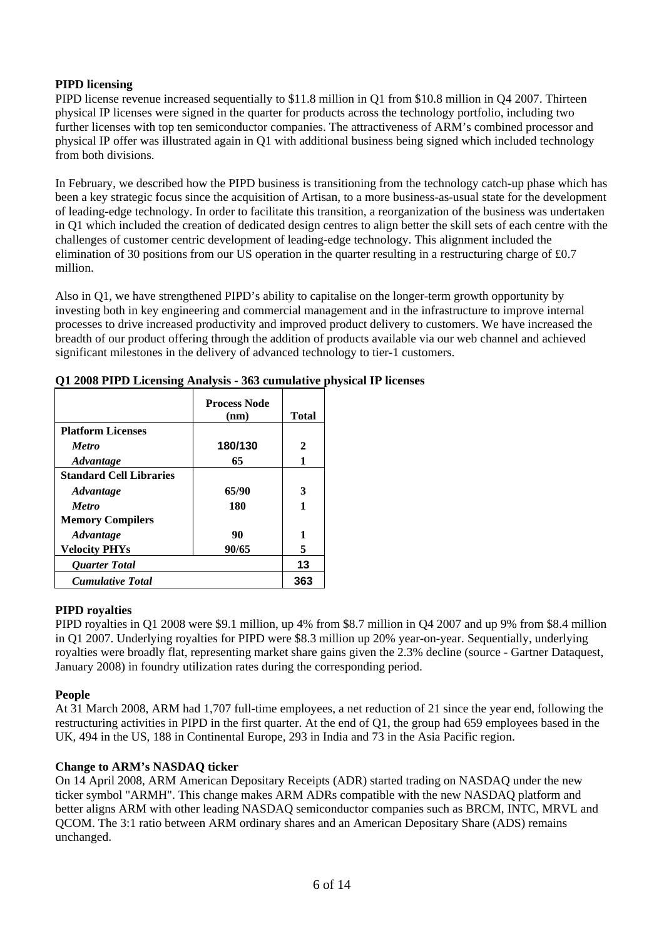# **PIPD licensing**

PIPD license revenue increased sequentially to \$11.8 million in Q1 from \$10.8 million in Q4 2007. Thirteen physical IP licenses were signed in the quarter for products across the technology portfolio, including two further licenses with top ten semiconductor companies. The attractiveness of ARM's combined processor and physical IP offer was illustrated again in Q1 with additional business being signed which included technology from both divisions.

In February, we described how the PIPD business is transitioning from the technology catch-up phase which has been a key strategic focus since the acquisition of Artisan, to a more business-as-usual state for the development of leading-edge technology. In order to facilitate this transition, a reorganization of the business was undertaken in Q1 which included the creation of dedicated design centres to align better the skill sets of each centre with the challenges of customer centric development of leading-edge technology. This alignment included the elimination of 30 positions from our US operation in the quarter resulting in a restructuring charge of £0.7 million.

Also in Q1, we have strengthened PIPD's ability to capitalise on the longer-term growth opportunity by investing both in key engineering and commercial management and in the infrastructure to improve internal processes to drive increased productivity and improved product delivery to customers. We have increased the breadth of our product offering through the addition of products available via our web channel and achieved significant milestones in the delivery of advanced technology to tier-1 customers.

|                                | <b>Process Node</b> |              |
|--------------------------------|---------------------|--------------|
|                                | (nm)                | <b>Total</b> |
| <b>Platform Licenses</b>       |                     |              |
| <b>Metro</b>                   | 180/130             | 2            |
| <i><b>Advantage</b></i>        | 65                  | 1            |
| <b>Standard Cell Libraries</b> |                     |              |
| <i><b>Advantage</b></i>        | 65/90               | 3            |
| <b>Metro</b>                   | 180                 | 1            |
| <b>Memory Compilers</b>        |                     |              |
| <b>Advantage</b>               | 90                  |              |
| <b>Velocity PHYs</b>           | 90/65               | 5            |
| <b>Ouarter Total</b>           | 13                  |              |
| <b>Cumulative Total</b>        |                     | 363          |

## **Q1 2008 PIPD Licensing Analysis - 363 cumulative physical IP licenses**

# **PIPD royalties**

PIPD royalties in Q1 2008 were \$9.1 million, up 4% from \$8.7 million in Q4 2007 and up 9% from \$8.4 million in Q1 2007. Underlying royalties for PIPD were \$8.3 million up 20% year-on-year. Sequentially, underlying royalties were broadly flat, representing market share gains given the 2.3% decline (source - Gartner Dataquest, January 2008) in foundry utilization rates during the corresponding period.

# **People**

At 31 March 2008, ARM had 1,707 full-time employees, a net reduction of 21 since the year end, following the restructuring activities in PIPD in the first quarter. At the end of Q1, the group had 659 employees based in the UK, 494 in the US, 188 in Continental Europe, 293 in India and 73 in the Asia Pacific region.

# **Change to ARM's NASDAQ ticker**

On 14 April 2008, ARM American Depositary Receipts (ADR) started trading on NASDAQ under the new ticker symbol "ARMH". This change makes ARM ADRs compatible with the new NASDAQ platform and better aligns ARM with other leading NASDAQ semiconductor companies such as BRCM, INTC, MRVL and QCOM. The 3:1 ratio between ARM ordinary shares and an American Depositary Share (ADS) remains unchanged.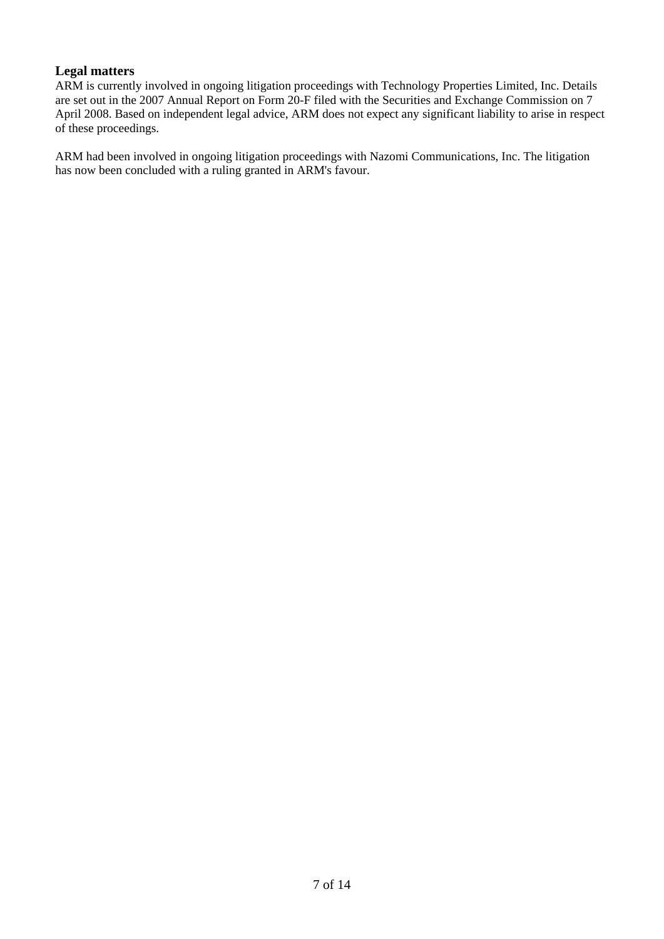# **Legal matters**

ARM is currently involved in ongoing litigation proceedings with Technology Properties Limited, Inc. Details are set out in the 2007 Annual Report on Form 20-F filed with the Securities and Exchange Commission on 7 April 2008. Based on independent legal advice, ARM does not expect any significant liability to arise in respect of these proceedings.

ARM had been involved in ongoing litigation proceedings with Nazomi Communications, Inc. The litigation has now been concluded with a ruling granted in ARM's favour.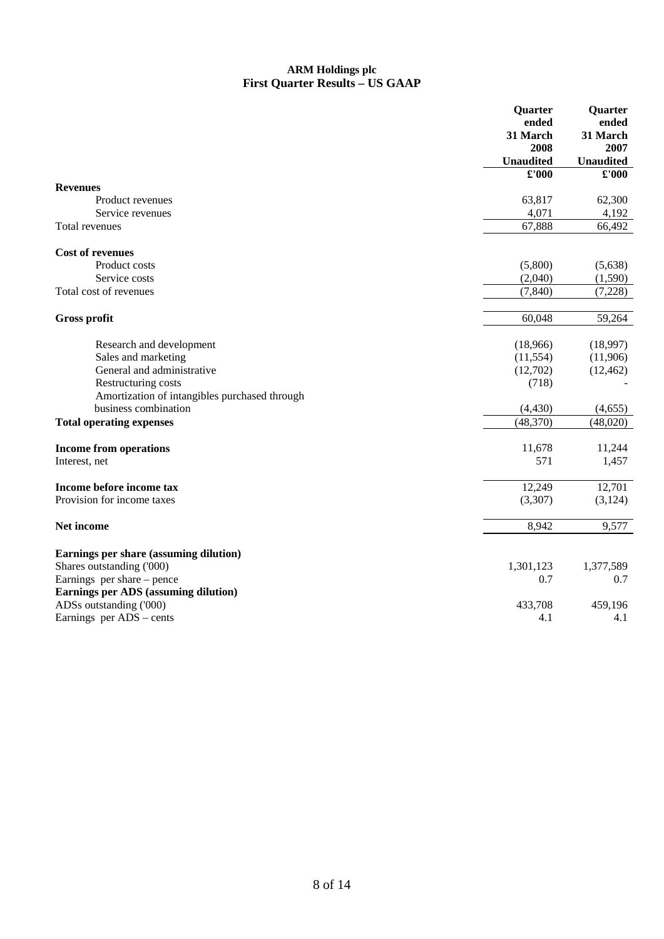## **ARM Holdings plc First Quarter Results – US GAAP**

| ended<br>ended<br>31 March<br>31 March<br>2008<br>2007<br><b>Unaudited</b><br><b>Unaudited</b><br>£'000<br>£'000<br><b>Revenues</b><br>63,817<br>62,300<br>Product revenues<br>4,071<br>4,192<br>Service revenues<br>67,888<br>66,492<br>Total revenues<br><b>Cost of revenues</b><br>Product costs<br>(5,800)<br>(5,638)<br>(2,040)<br>Service costs<br>(1,590)<br>(7, 840)<br>(7,228)<br>Total cost of revenues<br>60,048<br>59,264<br><b>Gross profit</b><br>Research and development<br>(18,966)<br>(18,997)<br>Sales and marketing<br>(11, 554)<br>(11,906)<br>General and administrative<br>(12,702)<br>(12, 462)<br>Restructuring costs<br>(718)<br>Amortization of intangibles purchased through<br>business combination<br>(4, 430)<br>(4,655)<br>(48,370)<br>(48,020)<br><b>Total operating expenses</b><br><b>Income from operations</b><br>11,678<br>11,244<br>571<br>Interest, net<br>1,457<br>12,249<br>12,701<br>Income before income tax<br>Provision for income taxes<br>(3,307)<br>(3,124)<br>9,577<br>Net income<br>8,942<br>Earnings per share (assuming dilution)<br>Shares outstanding ('000)<br>1,301,123<br>1,377,589<br>Earnings per share – pence<br>0.7<br>0.7<br>Earnings per ADS (assuming dilution)<br>ADSs outstanding ('000)<br>433,708<br>459,196<br>Earnings per ADS – cents<br>4.1<br>4.1 | Quarter | Quarter |
|------------------------------------------------------------------------------------------------------------------------------------------------------------------------------------------------------------------------------------------------------------------------------------------------------------------------------------------------------------------------------------------------------------------------------------------------------------------------------------------------------------------------------------------------------------------------------------------------------------------------------------------------------------------------------------------------------------------------------------------------------------------------------------------------------------------------------------------------------------------------------------------------------------------------------------------------------------------------------------------------------------------------------------------------------------------------------------------------------------------------------------------------------------------------------------------------------------------------------------------------------------------------------------------------------------------------------|---------|---------|
|                                                                                                                                                                                                                                                                                                                                                                                                                                                                                                                                                                                                                                                                                                                                                                                                                                                                                                                                                                                                                                                                                                                                                                                                                                                                                                                              |         |         |
|                                                                                                                                                                                                                                                                                                                                                                                                                                                                                                                                                                                                                                                                                                                                                                                                                                                                                                                                                                                                                                                                                                                                                                                                                                                                                                                              |         |         |
|                                                                                                                                                                                                                                                                                                                                                                                                                                                                                                                                                                                                                                                                                                                                                                                                                                                                                                                                                                                                                                                                                                                                                                                                                                                                                                                              |         |         |
|                                                                                                                                                                                                                                                                                                                                                                                                                                                                                                                                                                                                                                                                                                                                                                                                                                                                                                                                                                                                                                                                                                                                                                                                                                                                                                                              |         |         |
|                                                                                                                                                                                                                                                                                                                                                                                                                                                                                                                                                                                                                                                                                                                                                                                                                                                                                                                                                                                                                                                                                                                                                                                                                                                                                                                              |         |         |
|                                                                                                                                                                                                                                                                                                                                                                                                                                                                                                                                                                                                                                                                                                                                                                                                                                                                                                                                                                                                                                                                                                                                                                                                                                                                                                                              |         |         |
|                                                                                                                                                                                                                                                                                                                                                                                                                                                                                                                                                                                                                                                                                                                                                                                                                                                                                                                                                                                                                                                                                                                                                                                                                                                                                                                              |         |         |
|                                                                                                                                                                                                                                                                                                                                                                                                                                                                                                                                                                                                                                                                                                                                                                                                                                                                                                                                                                                                                                                                                                                                                                                                                                                                                                                              |         |         |
|                                                                                                                                                                                                                                                                                                                                                                                                                                                                                                                                                                                                                                                                                                                                                                                                                                                                                                                                                                                                                                                                                                                                                                                                                                                                                                                              |         |         |
|                                                                                                                                                                                                                                                                                                                                                                                                                                                                                                                                                                                                                                                                                                                                                                                                                                                                                                                                                                                                                                                                                                                                                                                                                                                                                                                              |         |         |
|                                                                                                                                                                                                                                                                                                                                                                                                                                                                                                                                                                                                                                                                                                                                                                                                                                                                                                                                                                                                                                                                                                                                                                                                                                                                                                                              |         |         |
|                                                                                                                                                                                                                                                                                                                                                                                                                                                                                                                                                                                                                                                                                                                                                                                                                                                                                                                                                                                                                                                                                                                                                                                                                                                                                                                              |         |         |
|                                                                                                                                                                                                                                                                                                                                                                                                                                                                                                                                                                                                                                                                                                                                                                                                                                                                                                                                                                                                                                                                                                                                                                                                                                                                                                                              |         |         |
|                                                                                                                                                                                                                                                                                                                                                                                                                                                                                                                                                                                                                                                                                                                                                                                                                                                                                                                                                                                                                                                                                                                                                                                                                                                                                                                              |         |         |
|                                                                                                                                                                                                                                                                                                                                                                                                                                                                                                                                                                                                                                                                                                                                                                                                                                                                                                                                                                                                                                                                                                                                                                                                                                                                                                                              |         |         |
|                                                                                                                                                                                                                                                                                                                                                                                                                                                                                                                                                                                                                                                                                                                                                                                                                                                                                                                                                                                                                                                                                                                                                                                                                                                                                                                              |         |         |
|                                                                                                                                                                                                                                                                                                                                                                                                                                                                                                                                                                                                                                                                                                                                                                                                                                                                                                                                                                                                                                                                                                                                                                                                                                                                                                                              |         |         |
|                                                                                                                                                                                                                                                                                                                                                                                                                                                                                                                                                                                                                                                                                                                                                                                                                                                                                                                                                                                                                                                                                                                                                                                                                                                                                                                              |         |         |
|                                                                                                                                                                                                                                                                                                                                                                                                                                                                                                                                                                                                                                                                                                                                                                                                                                                                                                                                                                                                                                                                                                                                                                                                                                                                                                                              |         |         |
|                                                                                                                                                                                                                                                                                                                                                                                                                                                                                                                                                                                                                                                                                                                                                                                                                                                                                                                                                                                                                                                                                                                                                                                                                                                                                                                              |         |         |
|                                                                                                                                                                                                                                                                                                                                                                                                                                                                                                                                                                                                                                                                                                                                                                                                                                                                                                                                                                                                                                                                                                                                                                                                                                                                                                                              |         |         |
|                                                                                                                                                                                                                                                                                                                                                                                                                                                                                                                                                                                                                                                                                                                                                                                                                                                                                                                                                                                                                                                                                                                                                                                                                                                                                                                              |         |         |
|                                                                                                                                                                                                                                                                                                                                                                                                                                                                                                                                                                                                                                                                                                                                                                                                                                                                                                                                                                                                                                                                                                                                                                                                                                                                                                                              |         |         |
|                                                                                                                                                                                                                                                                                                                                                                                                                                                                                                                                                                                                                                                                                                                                                                                                                                                                                                                                                                                                                                                                                                                                                                                                                                                                                                                              |         |         |
|                                                                                                                                                                                                                                                                                                                                                                                                                                                                                                                                                                                                                                                                                                                                                                                                                                                                                                                                                                                                                                                                                                                                                                                                                                                                                                                              |         |         |
|                                                                                                                                                                                                                                                                                                                                                                                                                                                                                                                                                                                                                                                                                                                                                                                                                                                                                                                                                                                                                                                                                                                                                                                                                                                                                                                              |         |         |
|                                                                                                                                                                                                                                                                                                                                                                                                                                                                                                                                                                                                                                                                                                                                                                                                                                                                                                                                                                                                                                                                                                                                                                                                                                                                                                                              |         |         |
|                                                                                                                                                                                                                                                                                                                                                                                                                                                                                                                                                                                                                                                                                                                                                                                                                                                                                                                                                                                                                                                                                                                                                                                                                                                                                                                              |         |         |
|                                                                                                                                                                                                                                                                                                                                                                                                                                                                                                                                                                                                                                                                                                                                                                                                                                                                                                                                                                                                                                                                                                                                                                                                                                                                                                                              |         |         |
|                                                                                                                                                                                                                                                                                                                                                                                                                                                                                                                                                                                                                                                                                                                                                                                                                                                                                                                                                                                                                                                                                                                                                                                                                                                                                                                              |         |         |
|                                                                                                                                                                                                                                                                                                                                                                                                                                                                                                                                                                                                                                                                                                                                                                                                                                                                                                                                                                                                                                                                                                                                                                                                                                                                                                                              |         |         |
|                                                                                                                                                                                                                                                                                                                                                                                                                                                                                                                                                                                                                                                                                                                                                                                                                                                                                                                                                                                                                                                                                                                                                                                                                                                                                                                              |         |         |
|                                                                                                                                                                                                                                                                                                                                                                                                                                                                                                                                                                                                                                                                                                                                                                                                                                                                                                                                                                                                                                                                                                                                                                                                                                                                                                                              |         |         |
|                                                                                                                                                                                                                                                                                                                                                                                                                                                                                                                                                                                                                                                                                                                                                                                                                                                                                                                                                                                                                                                                                                                                                                                                                                                                                                                              |         |         |
|                                                                                                                                                                                                                                                                                                                                                                                                                                                                                                                                                                                                                                                                                                                                                                                                                                                                                                                                                                                                                                                                                                                                                                                                                                                                                                                              |         |         |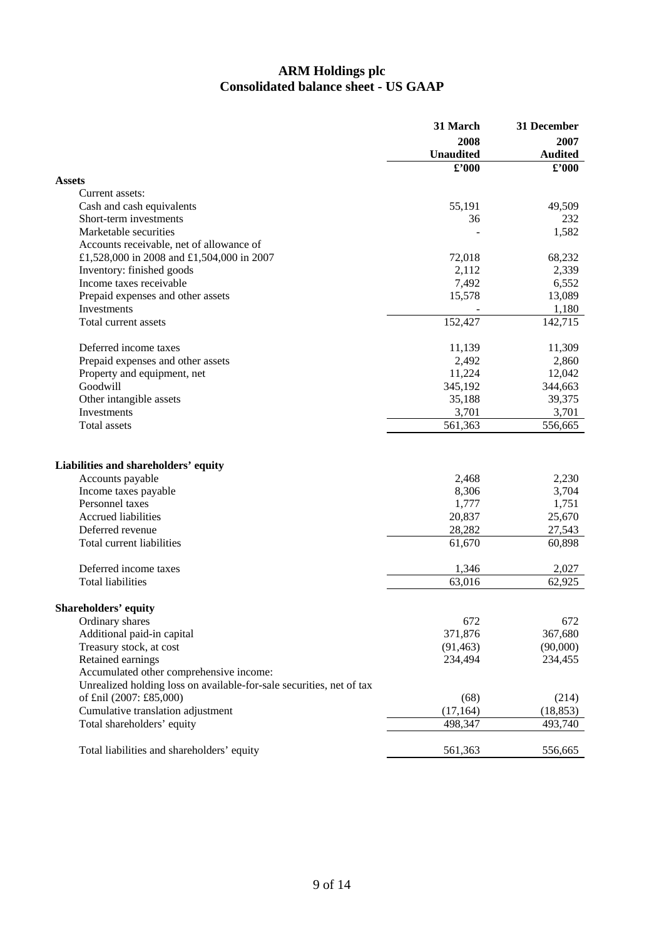# **ARM Holdings plc Consolidated balance sheet - US GAAP**

| 2008<br>2007<br><b>Unaudited</b><br><b>Audited</b><br>£'000<br>$\pmb{\pmb{\cdot} 000}$<br>Assets<br>Current assets:<br>Cash and cash equivalents<br>55,191<br>49,509<br>232<br>Short-term investments<br>36<br>Marketable securities<br>1,582<br>Accounts receivable, net of allowance of<br>£1,528,000 in 2008 and £1,504,000 in 2007<br>72,018<br>68,232<br>Inventory: finished goods<br>2,112<br>2,339<br>7,492<br>6,552<br>Income taxes receivable<br>15,578<br>13,089<br>Prepaid expenses and other assets<br>Investments<br>1,180<br>Total current assets<br>152,427<br>142,715<br>Deferred income taxes<br>11,309<br>11,139<br>2,492<br>Prepaid expenses and other assets<br>2,860<br>11,224<br>12,042<br>Property and equipment, net<br>Goodwill<br>345,192<br>344,663<br>39,375<br>Other intangible assets<br>35,188<br>3,701<br>Investments<br>3,701<br>561,363<br>Total assets<br>556,665<br>Liabilities and shareholders' equity<br>Accounts payable<br>2,468<br>2,230<br>8,306<br>3,704<br>Income taxes payable<br>1,777<br>Personnel taxes<br>1,751<br>Accrued liabilities<br>20,837<br>25,670<br>Deferred revenue<br>28,282<br>27,543<br>Total current liabilities<br>60,898<br>61,670<br>Deferred income taxes<br>1,346<br>2,027<br><b>Total liabilities</b><br>63,016<br>62,925<br><b>Shareholders' equity</b><br>672<br>672<br>Ordinary shares<br>Additional paid-in capital<br>371,876<br>367,680<br>(90,000)<br>Treasury stock, at cost<br>(91, 463)<br>Retained earnings<br>234,455<br>234,494<br>Accumulated other comprehensive income:<br>Unrealized holding loss on available-for-sale securities, net of tax<br>of £nil (2007: £85,000)<br>(68)<br>(214)<br>Cumulative translation adjustment<br>(17, 164)<br>(18, 853)<br>Total shareholders' equity<br>498,347<br>493,740<br>Total liabilities and shareholders' equity<br>556,665 | 31 March | 31 December |
|----------------------------------------------------------------------------------------------------------------------------------------------------------------------------------------------------------------------------------------------------------------------------------------------------------------------------------------------------------------------------------------------------------------------------------------------------------------------------------------------------------------------------------------------------------------------------------------------------------------------------------------------------------------------------------------------------------------------------------------------------------------------------------------------------------------------------------------------------------------------------------------------------------------------------------------------------------------------------------------------------------------------------------------------------------------------------------------------------------------------------------------------------------------------------------------------------------------------------------------------------------------------------------------------------------------------------------------------------------------------------------------------------------------------------------------------------------------------------------------------------------------------------------------------------------------------------------------------------------------------------------------------------------------------------------------------------------------------------------------------------------------------------------------------------------------------------------------------------------------|----------|-------------|
|                                                                                                                                                                                                                                                                                                                                                                                                                                                                                                                                                                                                                                                                                                                                                                                                                                                                                                                                                                                                                                                                                                                                                                                                                                                                                                                                                                                                                                                                                                                                                                                                                                                                                                                                                                                                                                                                |          |             |
|                                                                                                                                                                                                                                                                                                                                                                                                                                                                                                                                                                                                                                                                                                                                                                                                                                                                                                                                                                                                                                                                                                                                                                                                                                                                                                                                                                                                                                                                                                                                                                                                                                                                                                                                                                                                                                                                |          |             |
|                                                                                                                                                                                                                                                                                                                                                                                                                                                                                                                                                                                                                                                                                                                                                                                                                                                                                                                                                                                                                                                                                                                                                                                                                                                                                                                                                                                                                                                                                                                                                                                                                                                                                                                                                                                                                                                                |          |             |
|                                                                                                                                                                                                                                                                                                                                                                                                                                                                                                                                                                                                                                                                                                                                                                                                                                                                                                                                                                                                                                                                                                                                                                                                                                                                                                                                                                                                                                                                                                                                                                                                                                                                                                                                                                                                                                                                |          |             |
|                                                                                                                                                                                                                                                                                                                                                                                                                                                                                                                                                                                                                                                                                                                                                                                                                                                                                                                                                                                                                                                                                                                                                                                                                                                                                                                                                                                                                                                                                                                                                                                                                                                                                                                                                                                                                                                                |          |             |
|                                                                                                                                                                                                                                                                                                                                                                                                                                                                                                                                                                                                                                                                                                                                                                                                                                                                                                                                                                                                                                                                                                                                                                                                                                                                                                                                                                                                                                                                                                                                                                                                                                                                                                                                                                                                                                                                |          |             |
|                                                                                                                                                                                                                                                                                                                                                                                                                                                                                                                                                                                                                                                                                                                                                                                                                                                                                                                                                                                                                                                                                                                                                                                                                                                                                                                                                                                                                                                                                                                                                                                                                                                                                                                                                                                                                                                                |          |             |
|                                                                                                                                                                                                                                                                                                                                                                                                                                                                                                                                                                                                                                                                                                                                                                                                                                                                                                                                                                                                                                                                                                                                                                                                                                                                                                                                                                                                                                                                                                                                                                                                                                                                                                                                                                                                                                                                |          |             |
|                                                                                                                                                                                                                                                                                                                                                                                                                                                                                                                                                                                                                                                                                                                                                                                                                                                                                                                                                                                                                                                                                                                                                                                                                                                                                                                                                                                                                                                                                                                                                                                                                                                                                                                                                                                                                                                                |          |             |
|                                                                                                                                                                                                                                                                                                                                                                                                                                                                                                                                                                                                                                                                                                                                                                                                                                                                                                                                                                                                                                                                                                                                                                                                                                                                                                                                                                                                                                                                                                                                                                                                                                                                                                                                                                                                                                                                |          |             |
|                                                                                                                                                                                                                                                                                                                                                                                                                                                                                                                                                                                                                                                                                                                                                                                                                                                                                                                                                                                                                                                                                                                                                                                                                                                                                                                                                                                                                                                                                                                                                                                                                                                                                                                                                                                                                                                                |          |             |
|                                                                                                                                                                                                                                                                                                                                                                                                                                                                                                                                                                                                                                                                                                                                                                                                                                                                                                                                                                                                                                                                                                                                                                                                                                                                                                                                                                                                                                                                                                                                                                                                                                                                                                                                                                                                                                                                |          |             |
|                                                                                                                                                                                                                                                                                                                                                                                                                                                                                                                                                                                                                                                                                                                                                                                                                                                                                                                                                                                                                                                                                                                                                                                                                                                                                                                                                                                                                                                                                                                                                                                                                                                                                                                                                                                                                                                                |          |             |
|                                                                                                                                                                                                                                                                                                                                                                                                                                                                                                                                                                                                                                                                                                                                                                                                                                                                                                                                                                                                                                                                                                                                                                                                                                                                                                                                                                                                                                                                                                                                                                                                                                                                                                                                                                                                                                                                |          |             |
|                                                                                                                                                                                                                                                                                                                                                                                                                                                                                                                                                                                                                                                                                                                                                                                                                                                                                                                                                                                                                                                                                                                                                                                                                                                                                                                                                                                                                                                                                                                                                                                                                                                                                                                                                                                                                                                                |          |             |
|                                                                                                                                                                                                                                                                                                                                                                                                                                                                                                                                                                                                                                                                                                                                                                                                                                                                                                                                                                                                                                                                                                                                                                                                                                                                                                                                                                                                                                                                                                                                                                                                                                                                                                                                                                                                                                                                |          |             |
|                                                                                                                                                                                                                                                                                                                                                                                                                                                                                                                                                                                                                                                                                                                                                                                                                                                                                                                                                                                                                                                                                                                                                                                                                                                                                                                                                                                                                                                                                                                                                                                                                                                                                                                                                                                                                                                                |          |             |
|                                                                                                                                                                                                                                                                                                                                                                                                                                                                                                                                                                                                                                                                                                                                                                                                                                                                                                                                                                                                                                                                                                                                                                                                                                                                                                                                                                                                                                                                                                                                                                                                                                                                                                                                                                                                                                                                |          |             |
|                                                                                                                                                                                                                                                                                                                                                                                                                                                                                                                                                                                                                                                                                                                                                                                                                                                                                                                                                                                                                                                                                                                                                                                                                                                                                                                                                                                                                                                                                                                                                                                                                                                                                                                                                                                                                                                                |          |             |
|                                                                                                                                                                                                                                                                                                                                                                                                                                                                                                                                                                                                                                                                                                                                                                                                                                                                                                                                                                                                                                                                                                                                                                                                                                                                                                                                                                                                                                                                                                                                                                                                                                                                                                                                                                                                                                                                |          |             |
|                                                                                                                                                                                                                                                                                                                                                                                                                                                                                                                                                                                                                                                                                                                                                                                                                                                                                                                                                                                                                                                                                                                                                                                                                                                                                                                                                                                                                                                                                                                                                                                                                                                                                                                                                                                                                                                                |          |             |
|                                                                                                                                                                                                                                                                                                                                                                                                                                                                                                                                                                                                                                                                                                                                                                                                                                                                                                                                                                                                                                                                                                                                                                                                                                                                                                                                                                                                                                                                                                                                                                                                                                                                                                                                                                                                                                                                |          |             |
|                                                                                                                                                                                                                                                                                                                                                                                                                                                                                                                                                                                                                                                                                                                                                                                                                                                                                                                                                                                                                                                                                                                                                                                                                                                                                                                                                                                                                                                                                                                                                                                                                                                                                                                                                                                                                                                                |          |             |
|                                                                                                                                                                                                                                                                                                                                                                                                                                                                                                                                                                                                                                                                                                                                                                                                                                                                                                                                                                                                                                                                                                                                                                                                                                                                                                                                                                                                                                                                                                                                                                                                                                                                                                                                                                                                                                                                |          |             |
|                                                                                                                                                                                                                                                                                                                                                                                                                                                                                                                                                                                                                                                                                                                                                                                                                                                                                                                                                                                                                                                                                                                                                                                                                                                                                                                                                                                                                                                                                                                                                                                                                                                                                                                                                                                                                                                                |          |             |
|                                                                                                                                                                                                                                                                                                                                                                                                                                                                                                                                                                                                                                                                                                                                                                                                                                                                                                                                                                                                                                                                                                                                                                                                                                                                                                                                                                                                                                                                                                                                                                                                                                                                                                                                                                                                                                                                |          |             |
|                                                                                                                                                                                                                                                                                                                                                                                                                                                                                                                                                                                                                                                                                                                                                                                                                                                                                                                                                                                                                                                                                                                                                                                                                                                                                                                                                                                                                                                                                                                                                                                                                                                                                                                                                                                                                                                                |          |             |
|                                                                                                                                                                                                                                                                                                                                                                                                                                                                                                                                                                                                                                                                                                                                                                                                                                                                                                                                                                                                                                                                                                                                                                                                                                                                                                                                                                                                                                                                                                                                                                                                                                                                                                                                                                                                                                                                |          |             |
|                                                                                                                                                                                                                                                                                                                                                                                                                                                                                                                                                                                                                                                                                                                                                                                                                                                                                                                                                                                                                                                                                                                                                                                                                                                                                                                                                                                                                                                                                                                                                                                                                                                                                                                                                                                                                                                                |          |             |
|                                                                                                                                                                                                                                                                                                                                                                                                                                                                                                                                                                                                                                                                                                                                                                                                                                                                                                                                                                                                                                                                                                                                                                                                                                                                                                                                                                                                                                                                                                                                                                                                                                                                                                                                                                                                                                                                |          |             |
|                                                                                                                                                                                                                                                                                                                                                                                                                                                                                                                                                                                                                                                                                                                                                                                                                                                                                                                                                                                                                                                                                                                                                                                                                                                                                                                                                                                                                                                                                                                                                                                                                                                                                                                                                                                                                                                                |          |             |
|                                                                                                                                                                                                                                                                                                                                                                                                                                                                                                                                                                                                                                                                                                                                                                                                                                                                                                                                                                                                                                                                                                                                                                                                                                                                                                                                                                                                                                                                                                                                                                                                                                                                                                                                                                                                                                                                |          |             |
|                                                                                                                                                                                                                                                                                                                                                                                                                                                                                                                                                                                                                                                                                                                                                                                                                                                                                                                                                                                                                                                                                                                                                                                                                                                                                                                                                                                                                                                                                                                                                                                                                                                                                                                                                                                                                                                                |          |             |
|                                                                                                                                                                                                                                                                                                                                                                                                                                                                                                                                                                                                                                                                                                                                                                                                                                                                                                                                                                                                                                                                                                                                                                                                                                                                                                                                                                                                                                                                                                                                                                                                                                                                                                                                                                                                                                                                |          |             |
|                                                                                                                                                                                                                                                                                                                                                                                                                                                                                                                                                                                                                                                                                                                                                                                                                                                                                                                                                                                                                                                                                                                                                                                                                                                                                                                                                                                                                                                                                                                                                                                                                                                                                                                                                                                                                                                                |          |             |
|                                                                                                                                                                                                                                                                                                                                                                                                                                                                                                                                                                                                                                                                                                                                                                                                                                                                                                                                                                                                                                                                                                                                                                                                                                                                                                                                                                                                                                                                                                                                                                                                                                                                                                                                                                                                                                                                |          |             |
|                                                                                                                                                                                                                                                                                                                                                                                                                                                                                                                                                                                                                                                                                                                                                                                                                                                                                                                                                                                                                                                                                                                                                                                                                                                                                                                                                                                                                                                                                                                                                                                                                                                                                                                                                                                                                                                                |          |             |
|                                                                                                                                                                                                                                                                                                                                                                                                                                                                                                                                                                                                                                                                                                                                                                                                                                                                                                                                                                                                                                                                                                                                                                                                                                                                                                                                                                                                                                                                                                                                                                                                                                                                                                                                                                                                                                                                |          |             |
|                                                                                                                                                                                                                                                                                                                                                                                                                                                                                                                                                                                                                                                                                                                                                                                                                                                                                                                                                                                                                                                                                                                                                                                                                                                                                                                                                                                                                                                                                                                                                                                                                                                                                                                                                                                                                                                                |          |             |
|                                                                                                                                                                                                                                                                                                                                                                                                                                                                                                                                                                                                                                                                                                                                                                                                                                                                                                                                                                                                                                                                                                                                                                                                                                                                                                                                                                                                                                                                                                                                                                                                                                                                                                                                                                                                                                                                |          |             |
|                                                                                                                                                                                                                                                                                                                                                                                                                                                                                                                                                                                                                                                                                                                                                                                                                                                                                                                                                                                                                                                                                                                                                                                                                                                                                                                                                                                                                                                                                                                                                                                                                                                                                                                                                                                                                                                                |          |             |
|                                                                                                                                                                                                                                                                                                                                                                                                                                                                                                                                                                                                                                                                                                                                                                                                                                                                                                                                                                                                                                                                                                                                                                                                                                                                                                                                                                                                                                                                                                                                                                                                                                                                                                                                                                                                                                                                |          |             |
|                                                                                                                                                                                                                                                                                                                                                                                                                                                                                                                                                                                                                                                                                                                                                                                                                                                                                                                                                                                                                                                                                                                                                                                                                                                                                                                                                                                                                                                                                                                                                                                                                                                                                                                                                                                                                                                                | 561,363  |             |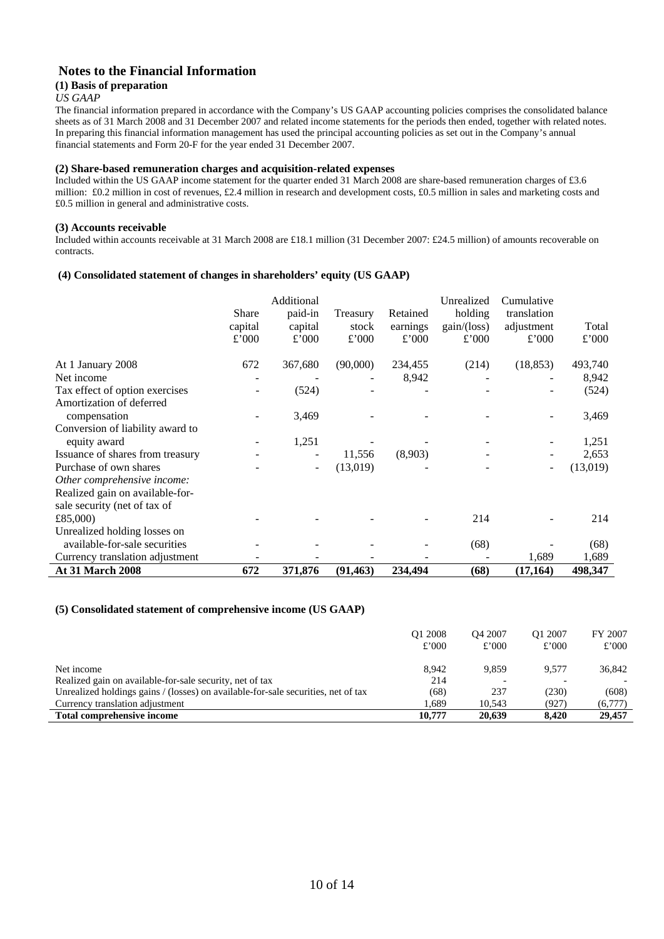## **Notes to the Financial Information**

#### **(1) Basis of preparation**

#### *US GAAP*

The financial information prepared in accordance with the Company's US GAAP accounting policies comprises the consolidated balance sheets as of 31 March 2008 and 31 December 2007 and related income statements for the periods then ended, together with related notes. In preparing this financial information management has used the principal accounting policies as set out in the Company's annual financial statements and Form 20-F for the year ended 31 December 2007.

#### **(2) Share-based remuneration charges and acquisition-related expenses**

Included within the US GAAP income statement for the quarter ended 31 March 2008 are share-based remuneration charges of £3.6 million: £0.2 million in cost of revenues, £2.4 million in research and development costs, £0.5 million in sales and marketing costs and £0.5 million in general and administrative costs.

#### **(3) Accounts receivable**

Included within accounts receivable at 31 March 2008 are £18.1 million (31 December 2007: £24.5 million) of amounts recoverable on contracts.

#### **(4) Consolidated statement of changes in shareholders' equity (US GAAP)**

|                                  | Share<br>capital<br>£'000 | Additional<br>paid-in<br>capital<br>£'000 | Treasury<br>stock<br>£'000 | Retained<br>earnings<br>£'000 | Unrealized<br>holding<br>gain/(loss)<br>£'000 | Cumulative<br>translation<br>adjustment<br>£'000 | Total<br>£'000 |
|----------------------------------|---------------------------|-------------------------------------------|----------------------------|-------------------------------|-----------------------------------------------|--------------------------------------------------|----------------|
| At 1 January 2008                | 672                       | 367,680                                   | (90,000)                   | 234,455                       | (214)                                         | (18, 853)                                        | 493,740        |
| Net income                       |                           |                                           |                            | 8,942                         |                                               |                                                  | 8,942          |
| Tax effect of option exercises   |                           | (524)                                     |                            |                               |                                               |                                                  | (524)          |
| Amortization of deferred         |                           |                                           |                            |                               |                                               |                                                  |                |
| compensation                     |                           | 3,469                                     |                            |                               |                                               |                                                  | 3,469          |
| Conversion of liability award to |                           |                                           |                            |                               |                                               |                                                  |                |
| equity award                     |                           | 1,251                                     |                            |                               |                                               |                                                  | 1,251          |
| Issuance of shares from treasury |                           |                                           | 11,556                     | (8,903)                       |                                               |                                                  | 2,653          |
| Purchase of own shares           |                           |                                           | (13,019)                   |                               |                                               |                                                  | (13,019)       |
| Other comprehensive income:      |                           |                                           |                            |                               |                                               |                                                  |                |
| Realized gain on available-for-  |                           |                                           |                            |                               |                                               |                                                  |                |
| sale security (net of tax of     |                           |                                           |                            |                               |                                               |                                                  |                |
| £85,000)                         |                           |                                           |                            |                               | 214                                           |                                                  | 214            |
| Unrealized holding losses on     |                           |                                           |                            |                               |                                               |                                                  |                |
| available-for-sale securities    |                           |                                           |                            |                               | (68)                                          |                                                  | (68)           |
| Currency translation adjustment  |                           |                                           |                            |                               |                                               | 1,689                                            | 1,689          |
| At 31 March 2008                 | 672                       | 371,876                                   | (91, 463)                  | 234,494                       | (68)                                          | (17, 164)                                        | 498,347        |

#### **(5) Consolidated statement of comprehensive income (US GAAP)**

| £'000   |
|---------|
| 36,842  |
|         |
| (608)   |
| (6,777) |
| 29,457  |
|         |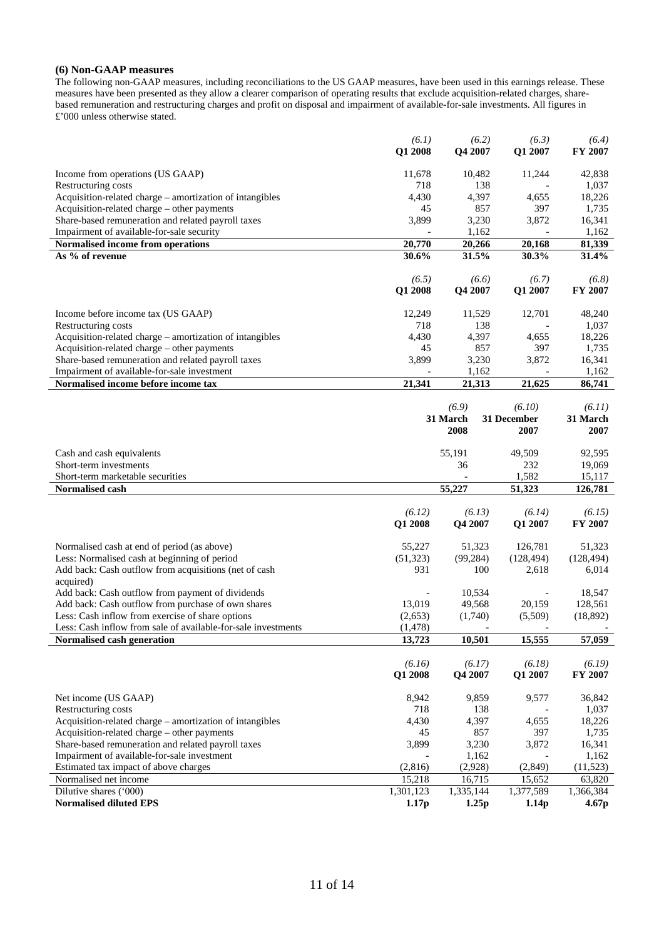#### **(6) Non-GAAP measures**

The following non-GAAP measures, including reconciliations to the US GAAP measures, have been used in this earnings release. These measures have been presented as they allow a clearer comparison of operating results that exclude acquisition-related charges, sharebased remuneration and restructuring charges and profit on disposal and impairment of available-for-sale investments. All figures in £'000 unless otherwise stated.

|                                                                                                        | (6.1)<br>Q1 2008    | (6.2)<br>Q4 2007    | (6.3)<br>Q1 2007    | (6.4)<br>FY 2007         |
|--------------------------------------------------------------------------------------------------------|---------------------|---------------------|---------------------|--------------------------|
| Income from operations (US GAAP)                                                                       | 11,678              | 10,482              | 11,244              | 42,838                   |
| Restructuring costs                                                                                    | 718                 | 138                 |                     | 1,037                    |
| Acquisition-related charge – amortization of intangibles                                               | 4,430               | 4,397               | 4,655               | 18,226                   |
| Acquisition-related charge - other payments                                                            | 45                  | 857                 | 397                 | 1,735                    |
| Share-based remuneration and related payroll taxes                                                     | 3,899               | 3,230               | 3,872               | 16,341                   |
| Impairment of available-for-sale security                                                              |                     | 1,162               |                     | 1,162                    |
| Normalised income from operations                                                                      | 20,770              | 20,266              | 20,168              | 81,339                   |
| As % of revenue                                                                                        | 30.6%               | 31.5%               | 30.3%               | 31.4%                    |
|                                                                                                        | (6.5)<br>Q1 2008    | (6.6)<br>Q4 2007    | (6.7)<br>Q1 2007    | (6.8)<br>FY 2007         |
| Income before income tax (US GAAP)                                                                     | 12,249              | 11,529              | 12,701              | 48,240                   |
| Restructuring costs                                                                                    | 718                 | 138                 |                     | 1,037                    |
| Acquisition-related charge - amortization of intangibles                                               | 4,430               | 4,397               | 4,655               | 18,226                   |
| Acquisition-related charge - other payments                                                            | 45                  | 857                 | 397                 | 1,735                    |
| Share-based remuneration and related payroll taxes                                                     | 3,899               | 3,230               | 3,872               | 16,341                   |
| Impairment of available-for-sale investment<br>Normalised income before income tax                     | 21,341              | 1,162<br>21,313     | 21,625              | 1,162<br>86,741          |
|                                                                                                        |                     |                     |                     |                          |
|                                                                                                        |                     | (6.9)               | (6.10)              | (6.11)                   |
|                                                                                                        |                     | 31 March            | 31 December         | 31 March                 |
|                                                                                                        |                     | 2008                | 2007                | 2007                     |
| Cash and cash equivalents                                                                              |                     | 55,191              | 49,509              | 92,595                   |
| Short-term investments                                                                                 |                     | 36                  | 232                 | 19,069                   |
|                                                                                                        |                     |                     |                     |                          |
| Short-term marketable securities                                                                       |                     |                     | 1,582               | 15,117                   |
| Normalised cash                                                                                        |                     | 55,227              | 51,323              | 126,781                  |
|                                                                                                        |                     |                     |                     |                          |
|                                                                                                        | (6.12)              | (6.13)              | (6.14)              | (6.15)                   |
|                                                                                                        | Q1 2008             | Q4 2007             | Q1 2007             | FY 2007                  |
| Normalised cash at end of period (as above)                                                            | 55,227              | 51,323              | 126,781             | 51,323                   |
| Less: Normalised cash at beginning of period                                                           | (51, 323)           | (99, 284)           | (128, 494)          | (128, 494)               |
| Add back: Cash outflow from acquisitions (net of cash                                                  | 931                 | 100                 | 2,618               | 6,014                    |
| acquired)                                                                                              |                     | 10,534              |                     | 18,547                   |
| Add back: Cash outflow from payment of dividends<br>Add back: Cash outflow from purchase of own shares | 13,019              | 49,568              | 20,159              | 128,561                  |
| Less: Cash inflow from exercise of share options                                                       | (2,653)             | (1,740)             | (5,509)             | (18, 892)                |
| Less: Cash inflow from sale of available-for-sale investments                                          | (1, 478)            |                     |                     |                          |
| Normalised cash generation                                                                             | 13,723              | 10,501              | 15,555              | 57,059                   |
|                                                                                                        |                     |                     |                     |                          |
|                                                                                                        | (6.16)<br>Q1 2008   | (6.17)<br>Q4 2007   | (6.18)<br>Q1 2007   | (6.19)<br><b>FY 2007</b> |
|                                                                                                        |                     |                     |                     |                          |
| Net income (US GAAP)                                                                                   | 8,942               | 9,859               | 9,577               | 36,842                   |
| Restructuring costs                                                                                    | 718                 | 138                 |                     | 1,037                    |
| Acquisition-related charge - amortization of intangibles                                               | 4,430               | 4,397               | 4,655               | 18,226                   |
| Acquisition-related charge - other payments                                                            | 45                  | 857                 | 397                 | 1,735                    |
| Share-based remuneration and related payroll taxes                                                     | 3,899               | 3,230               | 3,872               | 16,341                   |
| Impairment of available-for-sale investment                                                            |                     | 1,162               |                     | 1,162                    |
| Estimated tax impact of above charges                                                                  | (2,816)             | (2,928)             | (2, 849)            | (11, 523)                |
| Normalised net income<br>Dilutive shares ('000)                                                        | 15,218<br>1,301,123 | 16,715<br>1,335,144 | 15,652<br>1,377,589 | 63,820<br>1,366,384      |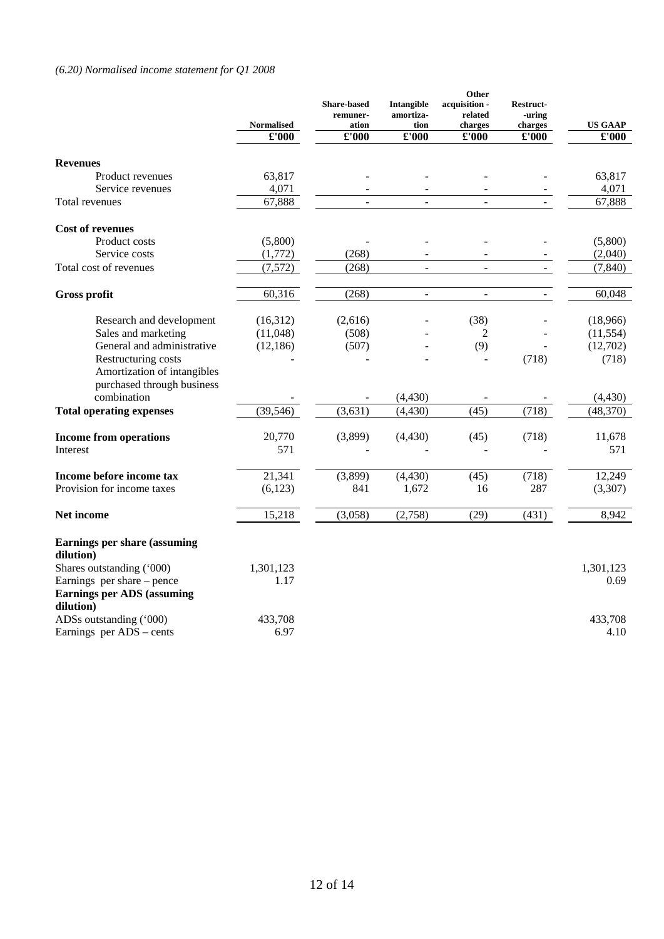# *(6.20) Normalised income statement for Q1 2008*

|                                                                                  | <b>Normalised</b> | <b>Share-based</b><br>remuner-<br>ation | Intangible<br>amortiza-<br>tion | Other<br>acquisition -<br>related<br>charges | <b>Restruct-</b><br>-uring<br>charges | <b>US GAAP</b>       |
|----------------------------------------------------------------------------------|-------------------|-----------------------------------------|---------------------------------|----------------------------------------------|---------------------------------------|----------------------|
|                                                                                  | £'000             | £'000                                   | £'000                           | $\pounds 000$                                | £'000                                 | $\pmb{\pounds}$ '000 |
| <b>Revenues</b>                                                                  |                   |                                         |                                 |                                              |                                       |                      |
| Product revenues                                                                 | 63,817            |                                         |                                 |                                              |                                       | 63,817               |
| Service revenues                                                                 | 4,071             |                                         |                                 |                                              |                                       | 4,071                |
| Total revenues                                                                   | 67,888            | $\overline{a}$                          | $\mathbf{r}$                    | $\mathbf{r}$                                 | $\overline{a}$                        | 67,888               |
| <b>Cost of revenues</b>                                                          |                   |                                         |                                 |                                              |                                       |                      |
| Product costs                                                                    | (5,800)           |                                         |                                 |                                              |                                       | (5,800)              |
| Service costs                                                                    | (1,772)           | (268)                                   |                                 |                                              |                                       | (2,040)              |
| Total cost of revenues                                                           | (7,572)           | (268)                                   | $\blacksquare$                  | $\overline{\phantom{a}}$                     | $\overline{\phantom{a}}$              | (7, 840)             |
| Gross profit                                                                     | 60,316            | (268)                                   | $\blacksquare$                  | $\overline{\phantom{a}}$                     |                                       | 60,048               |
| Research and development                                                         | (16,312)          | (2,616)                                 |                                 | (38)                                         |                                       | (18,966)             |
| Sales and marketing                                                              | (11,048)          | (508)                                   |                                 | 2                                            |                                       | (11, 554)            |
| General and administrative                                                       | (12, 186)         | (507)                                   |                                 | (9)                                          |                                       | (12,702)             |
| Restructuring costs<br>Amortization of intangibles<br>purchased through business |                   |                                         |                                 |                                              | (718)                                 | (718)                |
| combination                                                                      |                   |                                         | (4, 430)                        |                                              |                                       | (4, 430)             |
| <b>Total operating expenses</b>                                                  | (39, 546)         | (3,631)                                 | (4, 430)                        | (45)                                         | (718)                                 | (48, 370)            |
| <b>Income from operations</b>                                                    | 20,770            | (3,899)                                 | (4, 430)                        | (45)                                         | (718)                                 | 11,678               |
| Interest                                                                         | 571               |                                         |                                 |                                              |                                       | 571                  |
| Income before income tax                                                         | 21,341            | (3,899)                                 | (4, 430)                        | (45)                                         | (718)                                 | 12,249               |
| Provision for income taxes                                                       | (6,123)           | 841                                     | 1,672                           | 16                                           | 287                                   | (3,307)              |
| Net income                                                                       | 15,218            | (3,058)                                 | (2,758)                         | (29)                                         | (431)                                 | 8,942                |
| <b>Earnings per share (assuming</b>                                              |                   |                                         |                                 |                                              |                                       |                      |
| dilution)<br>Shares outstanding ('000)                                           |                   |                                         |                                 |                                              |                                       |                      |
| Earnings per share – pence                                                       | 1,301,123<br>1.17 |                                         |                                 |                                              |                                       | 1,301,123<br>0.69    |
| <b>Earnings per ADS (assuming</b>                                                |                   |                                         |                                 |                                              |                                       |                      |
| dilution)                                                                        |                   |                                         |                                 |                                              |                                       |                      |
| ADSs outstanding ('000)                                                          | 433,708           |                                         |                                 |                                              |                                       | 433.708              |
| Earnings per ADS - cents                                                         | 6.97              |                                         |                                 |                                              |                                       | 4.10                 |
|                                                                                  |                   |                                         |                                 |                                              |                                       |                      |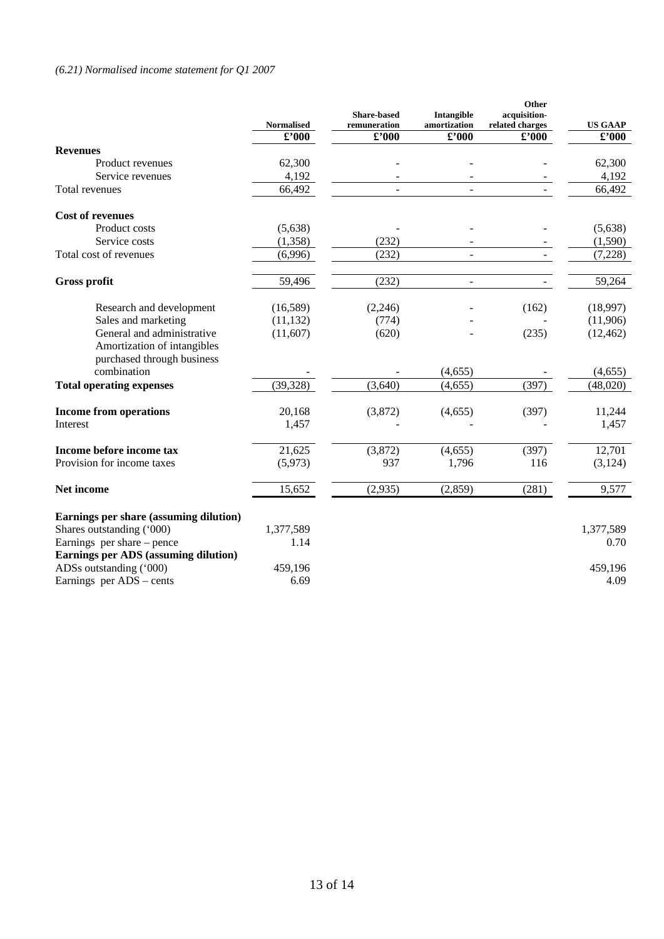# *(6.21) Normalised income statement for Q1 2007*

|                                                                                         | <b>Normalised</b> | <b>Share-based</b><br>remuneration | Intangible<br>amortization | Other<br>acquisition-<br>related charges | <b>US GAAP</b>              |
|-----------------------------------------------------------------------------------------|-------------------|------------------------------------|----------------------------|------------------------------------------|-----------------------------|
|                                                                                         | $\pounds$ '000    | £'000                              | $\pounds$ '000             | $\pounds$ '000                           | $\pmb{\pounds}^{\prime}000$ |
| <b>Revenues</b>                                                                         |                   |                                    |                            |                                          |                             |
| Product revenues                                                                        | 62,300            |                                    |                            |                                          | 62,300                      |
| Service revenues                                                                        | 4,192             |                                    |                            |                                          | 4,192                       |
| Total revenues                                                                          | 66,492            |                                    |                            |                                          | 66,492                      |
| <b>Cost of revenues</b>                                                                 |                   |                                    |                            |                                          |                             |
| Product costs                                                                           | (5,638)           |                                    |                            |                                          | (5,638)                     |
| Service costs                                                                           | (1,358)           | (232)                              |                            |                                          | (1,590)                     |
| Total cost of revenues                                                                  | (6,996)           | (232)                              | $\blacksquare$             |                                          | (7,228)                     |
| <b>Gross profit</b>                                                                     | 59,496            | (232)                              | $\overline{\phantom{a}}$   |                                          | 59,264                      |
| Research and development                                                                | (16,589)          | (2,246)                            |                            | (162)                                    | (18,997)                    |
| Sales and marketing                                                                     | (11, 132)         | (774)                              |                            |                                          | (11,906)                    |
| General and administrative<br>Amortization of intangibles<br>purchased through business | (11,607)          | (620)                              |                            | (235)                                    | (12, 462)                   |
| combination                                                                             |                   |                                    | (4, 655)                   |                                          | (4,655)                     |
| <b>Total operating expenses</b>                                                         | (39, 328)         | (3,640)                            | (4, 655)                   | (397)                                    | (48,020)                    |
| <b>Income from operations</b><br>Interest                                               | 20,168<br>1,457   | (3,872)                            | (4,655)                    | (397)                                    | 11,244<br>1,457             |
| Income before income tax                                                                | 21,625            | (3,872)                            | (4,655)                    | (397)                                    | 12,701                      |
| Provision for income taxes                                                              | (5,973)           | 937                                | 1,796                      | 116                                      | (3, 124)                    |
| Net income                                                                              | 15,652            | (2,935)                            | (2,859)                    | (281)                                    | 9,577                       |
| Earnings per share (assuming dilution)                                                  |                   |                                    |                            |                                          |                             |
| Shares outstanding ('000)                                                               | 1,377,589         |                                    |                            |                                          | 1,377,589                   |
| Earnings per share – pence                                                              | 1.14              |                                    |                            |                                          | 0.70                        |
| Earnings per ADS (assuming dilution)                                                    |                   |                                    |                            |                                          |                             |
| ADSs outstanding ('000)                                                                 | 459,196           |                                    |                            |                                          | 459,196                     |
| Earnings per ADS - cents                                                                | 6.69              |                                    |                            |                                          | 4.09                        |